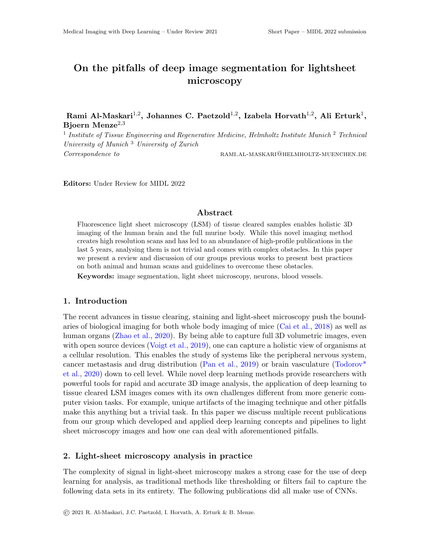# On the pitfalls of deep image segmentation for lightsheet microscopy

Rami Al-Maskari $^{1,2},$  Johannes C. Paetzold $^{1,2},$  Izabela Horvath $^{1,2},$  Ali Erturk $^{1},$ Bjoern Menze<sup>2,3</sup>

<sup>1</sup> Institute of Tissue Engineering and Regenerative Medicine, Helmholtz Institute Munich<sup>2</sup> Technical University of Munich <sup>3</sup> University of Zurich  ${\bf Correspondence\,\,\, to} \qquad \qquad {\bf RAMI.AL-MASKARI@HELMHOLTZ-MUENCHEN.DE}$ 

Editors: Under Review for MIDL 2022

## Abstract

Fluorescence light sheet microscopy (LSM) of tissue cleared samples enables holistic 3D imaging of the human brain and the full murine body. While this novel imaging method creates high resolution scans and has led to an abundance of high-profile publications in the last 5 years, analysing them is not trivial and comes with complex obstacles. In this paper we present a review and discussion of our groups previous works to present best practices on both animal and human scans and guidelines to overcome these obstacles.

Keywords: image segmentation, light sheet microscopy, neurons, blood vessels.

## 1. Introduction

The recent advances in tissue clearing, staining and light-sheet microscopy push the boundaries of biological imaging for both whole body imaging of mice [\(Cai et al.,](#page-2-0) [2018\)](#page-2-0) as well as human organs [\(Zhao et al.,](#page-2-1) [2020\)](#page-2-1). By being able to capture full 3D volumetric images, even with open source devices [\(Voigt et al.,](#page-2-2) [2019\)](#page-2-2), one can capture a holistic view of organisms at a cellular resolution. This enables the study of systems like the peripheral nervous system, cancer metastasis and drug distribution [\(Pan et al.,](#page-2-3) [2019\)](#page-2-3) or brain vasculature [\(Todorov\\*](#page-2-4) [et al.,](#page-2-4) [2020\)](#page-2-4) down to cell level. While novel deep learning methods provide researchers with powerful tools for rapid and accurate 3D image analysis, the application of deep learning to tissue cleared LSM images comes with its own challenges different from more generic computer vision tasks. For example, unique artifacts of the imaging technique and other pitfalls make this anything but a trivial task. In this paper we discuss multiple recent publications from our group which developed and applied deep learning concepts and pipelines to light sheet microscopy images and how one can deal with aforementioned pitfalls.

## 2. Light-sheet microscopy analysis in practice

The complexity of signal in light-sheet microscopy makes a strong case for the use of deep learning for analysis, as traditional methods like thresholding or filters fail to capture the following data sets in its entirety. The following publications did all make use of CNNs.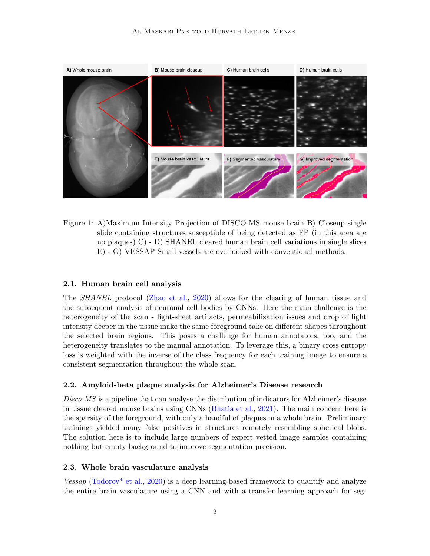

Figure 1: A)Maximum Intensity Projection of DISCO-MS mouse brain B) Closeup single slide containing structures susceptible of being detected as FP (in this area are no plaques) C) - D) SHANEL cleared human brain cell variations in single slices E) - G) VESSAP Small vessels are overlooked with conventional methods.

#### 2.1. Human brain cell analysis

The SHANEL protocol [\(Zhao et al.,](#page-2-1) [2020\)](#page-2-1) allows for the clearing of human tissue and the subsequent analysis of neuronal cell bodies by CNNs. Here the main challenge is the heterogeneity of the scan - light-sheet artifacts, permeabilization issues and drop of light intensity deeper in the tissue make the same foreground take on different shapes throughout the selected brain regions. This poses a challenge for human annotators, too, and the heterogeneity translates to the manual annotation. To leverage this, a binary cross entropy loss is weighted with the inverse of the class frequency for each training image to ensure a consistent segmentation throughout the whole scan.

#### 2.2. Amyloid-beta plaque analysis for Alzheimer's Disease research

Disco-MS is a pipeline that can analyse the distribution of indicators for Alzheimer's disease in tissue cleared mouse brains using CNNs [\(Bhatia et al.,](#page-2-5) [2021\)](#page-2-5). The main concern here is the sparsity of the foreground, with only a handful of plaques in a whole brain. Preliminary trainings yielded many false positives in structures remotely resembling spherical blobs. The solution here is to include large numbers of expert vetted image samples containing nothing but empty background to improve segmentation precision.

## 2.3. Whole brain vasculature analysis

Vessap [\(Todorov\\* et al.,](#page-2-4) [2020\)](#page-2-4) is a deep learning-based framework to quantify and analyze the entire brain vasculature using a CNN and with a transfer learning approach for seg